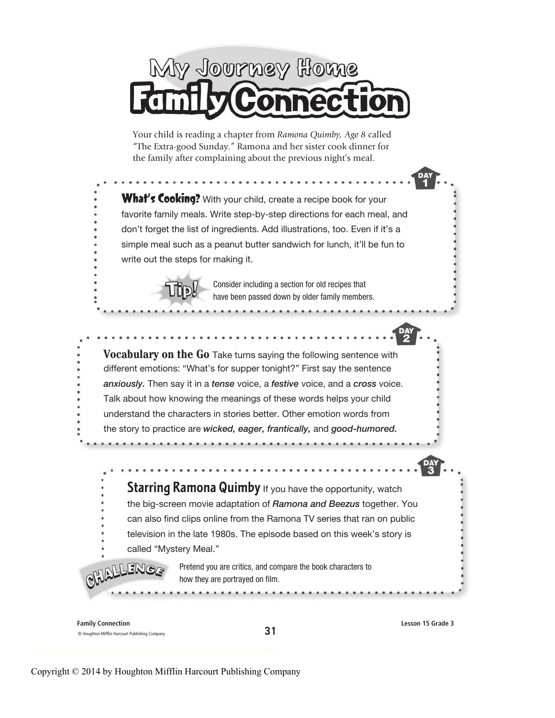

Your child is reading a chapter from Ramona Quimby, Age 8 called "The Extra-good Sunday." Ramona and her sister cook dinner for the family after complaining about the previous night's meal.

What's Cooking? With your child, create a recipe book for your favorite family meals. Write step-by-step directions for each meal, and don't forget the list of ingredients. Add illustrations, too. Even if it's a simple meal such as a peanut butter sandwich for lunch, it'll be fun to write out the steps for making it.

> Consider including a section for old recipes that have been passed down by older family members.

Vocabulary on the Go Take turns saying the following sentence with different emotions: "What's for supper tonight?" First say the sentence anxiously. Then say it in a tense voice, a festive voice, and a cross voice. Talk about how knowing the meanings of these words helps your child understand the characters in stories better. Other emotion words from the story to practice are wicked, eager, frantically, and good-humored.

**Starring Ramona Quimby** If you have the opportunity, watch the big-screen movie adaptation of Ramona and Beezus together. You can also find clips online from the Ramona TV series that ran on public television in the late 1980s. The episode based on this week's story is called "Mystery Meal."

> Pretend you are critics, and compare the book characters to how they are portrayed on film.

> > 31

Family Connection © Houghton Mifflin Harcourt Publishing Company

ENGS

Lesson 15 Grade 3